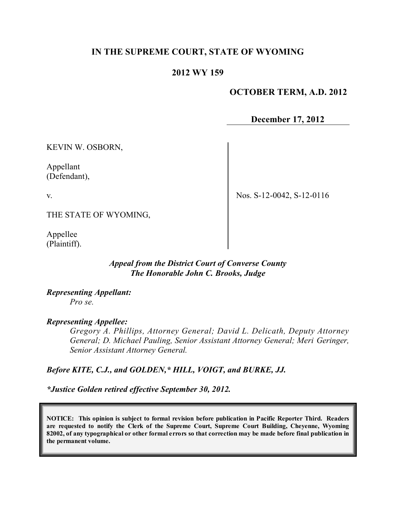# **IN THE SUPREME COURT, STATE OF WYOMING**

## **2012 WY 159**

## **OCTOBER TERM, A.D. 2012**

**December 17, 2012**

KEVIN W. OSBORN,

Appellant (Defendant),

v.

Nos. S-12-0042, S-12-0116

THE STATE OF WYOMING,

Appellee (Plaintiff).

# *Appeal from the District Court of Converse County The Honorable John C. Brooks, Judge*

*Representing Appellant: Pro se.*

#### *Representing Appellee:*

*Gregory A. Phillips, Attorney General; David L. Delicath, Deputy Attorney General; D. Michael Pauling, Senior Assistant Attorney General; Meri Geringer, Senior Assistant Attorney General.*

*Before KITE, C.J., and GOLDEN,\* HILL, VOIGT, and BURKE, JJ.*

*\*Justice Golden retired effective September 30, 2012.*

**NOTICE: This opinion is subject to formal revision before publication in Pacific Reporter Third. Readers are requested to notify the Clerk of the Supreme Court, Supreme Court Building, Cheyenne, Wyoming** 82002, of any typographical or other formal errors so that correction may be made before final publication in **the permanent volume.**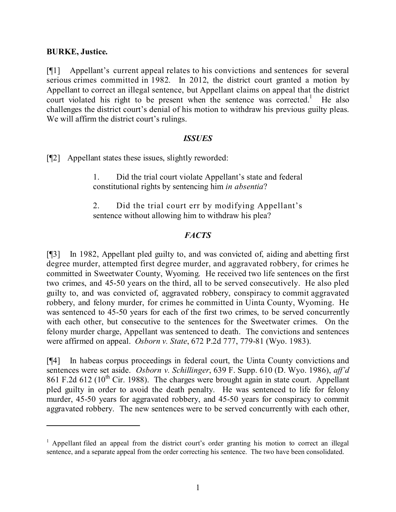## **BURKE, Justice.**

[¶1] Appellant's current appeal relates to his convictions and sentences for several serious crimes committed in 1982. In 2012, the district court granted a motion by Appellant to correct an illegal sentence, but Appellant claims on appeal that the district court violated his right to be present when the sentence was corrected.<sup>1</sup> He also challenges the district court's denial of his motion to withdraw his previous guilty pleas. We will affirm the district court's rulings.

#### *ISSUES*

[¶2] Appellant states these issues, slightly reworded:

1. Did the trial court violate Appellant's state and federal constitutional rights by sentencing him *in absentia*?

2. Did the trial court err by modifying Appellant's sentence without allowing him to withdraw his plea?

# *FACTS*

[¶3] In 1982, Appellant pled guilty to, and was convicted of, aiding and abetting first degree murder, attempted first degree murder, and aggravated robbery, for crimes he committed in Sweetwater County, Wyoming. He received two life sentences on the first two crimes, and 45-50 years on the third, all to be served consecutively. He also pled guilty to, and was convicted of, aggravated robbery, conspiracy to commit aggravated robbery, and felony murder, for crimes he committed in Uinta County, Wyoming. He was sentenced to 45-50 years for each of the first two crimes, to be served concurrently with each other, but consecutive to the sentences for the Sweetwater crimes. On the felony murder charge, Appellant was sentenced to death. The convictions and sentences were affirmed on appeal. *Osborn v. State*, 672 P.2d 777, 779-81 (Wyo. 1983).

[¶4] In habeas corpus proceedings in federal court, the Uinta County convictions and sentences were set aside. *Osborn v. Schillinger*, 639 F. Supp. 610 (D. Wyo. 1986), *aff'd* 861 F.2d 612 ( $10^{th}$  Cir. 1988). The charges were brought again in state court. Appellant pled guilty in order to avoid the death penalty. He was sentenced to life for felony murder, 45-50 years for aggravated robbery, and 45-50 years for conspiracy to commit aggravated robbery. The new sentences were to be served concurrently with each other,

 $<sup>1</sup>$  Appellant filed an appeal from the district court's order granting his motion to correct an illegal</sup> sentence, and a separate appeal from the order correcting his sentence. The two have been consolidated.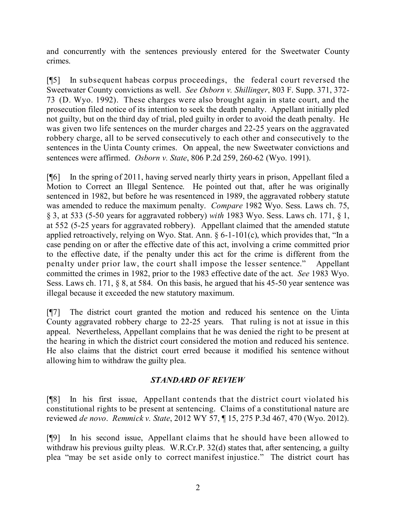and concurrently with the sentences previously entered for the Sweetwater County crimes.

[¶5] In subsequent habeas corpus proceedings, the federal court reversed the Sweetwater County convictions as well. *See Osborn v. Shillinger*, 803 F. Supp. 371, 372- 73 (D. Wyo. 1992). These charges were also brought again in state court, and the prosecution filed notice of its intention to seek the death penalty. Appellant initially pled not guilty, but on the third day of trial, pled guilty in order to avoid the death penalty. He was given two life sentences on the murder charges and 22-25 years on the aggravated robbery charge, all to be served consecutively to each other and consecutively to the sentences in the Uinta County crimes. On appeal, the new Sweetwater convictions and sentences were affirmed. *Osborn v. State*, 806 P.2d 259, 260-62 (Wyo. 1991).

[¶6] In the spring of 2011, having served nearly thirty years in prison, Appellant filed a Motion to Correct an Illegal Sentence. He pointed out that, after he was originally sentenced in 1982, but before he was resentenced in 1989, the aggravated robbery statute was amended to reduce the maximum penalty. *Compare* 1982 Wyo. Sess. Laws ch. 75, § 3, at 533 (5-50 years for aggravated robbery) *with* 1983 Wyo. Sess. Laws ch. 171, § 1, at 552 (5-25 years for aggravated robbery). Appellant claimed that the amended statute applied retroactively, relying on Wyo. Stat. Ann.  $\S 6$ -1-101(c), which provides that, "In a case pending on or after the effective date of this act, involving a crime committed prior to the effective date, if the penalty under this act for the crime is different from the penalty under prior law, the court shall impose the lesser sentence." Appellant committed the crimes in 1982, prior to the 1983 effective date of the act. *See* 1983 Wyo. Sess. Laws ch. 171, § 8, at 584. On this basis, he argued that his 45-50 year sentence was illegal because it exceeded the new statutory maximum.

[¶7] The district court granted the motion and reduced his sentence on the Uinta County aggravated robbery charge to 22-25 years. That ruling is not at issue in this appeal. Nevertheless, Appellant complains that he was denied the right to be present at the hearing in which the district court considered the motion and reduced his sentence. He also claims that the district court erred because it modified his sentence without allowing him to withdraw the guilty plea.

# *STANDARD OF REVIEW*

[¶8] In his first issue, Appellant contends that the district court violated his constitutional rights to be present at sentencing. Claims of a constitutional nature are reviewed *de novo*. *Remmick v. State*, 2012 WY 57, ¶ 15, 275 P.3d 467, 470 (Wyo. 2012).

[¶9] In his second issue, Appellant claims that he should have been allowed to withdraw his previous guilty pleas. W.R.Cr.P. 32(d) states that, after sentencing, a guilty plea "may be set aside only to correct manifest injustice." The district court has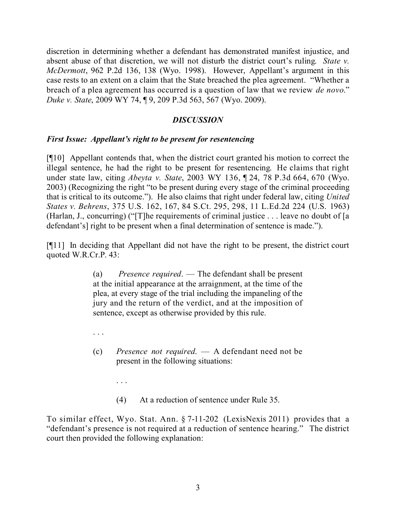discretion in determining whether a defendant has demonstrated manifest injustice, and absent abuse of that discretion, we will not disturb the district court's ruling. *State v. McDermott*, 962 P.2d 136, 138 (Wyo. 1998). However, Appellant's argument in this case rests to an extent on a claim that the State breached the plea agreement. "Whether a breach of a plea agreement has occurred is a question of law that we review *de novo*." *Duke v. State*, 2009 WY 74, ¶ 9, 209 P.3d 563, 567 (Wyo. 2009).

# *DISCUSSION*

## *First Issue: Appellant's right to be present for resentencing*

. . .

. . .

[¶10] Appellant contends that, when the district court granted his motion to correct the illegal sentence, he had the right to be present for resentencing. He claims that right under state law, citing *Abeyta v. State*, 2003 WY 136, ¶ 24, 78 P.3d 664, 670 (Wyo. 2003) (Recognizing the right "to be present during every stage of the criminal proceeding that is critical to its outcome."). He also claims that right under federal law, citing *United States v. Behrens*, 375 U.S. 162, 167, 84 S.Ct. 295, 298, 11 L.Ed.2d 224 (U.S. 1963) (Harlan, J., concurring) ("[T]he requirements of criminal justice . . . leave no doubt of [a defendant's] right to be present when a final determination of sentence is made.").

[¶11] In deciding that Appellant did not have the right to be present, the district court quoted W.R.Cr.P. 43:

> (a) *Presence required*. — The defendant shall be present at the initial appearance at the arraignment, at the time of the plea, at every stage of the trial including the impaneling of the jury and the return of the verdict, and at the imposition of sentence, except as otherwise provided by this rule.

- (c) *Presence not required*. A defendant need not be present in the following situations:
	- (4) At a reduction of sentence under Rule 35.

To similar effect, Wyo. Stat. Ann. § 7-11-202 (LexisNexis 2011) provides that a "defendant's presence is not required at a reduction of sentence hearing." The district court then provided the following explanation: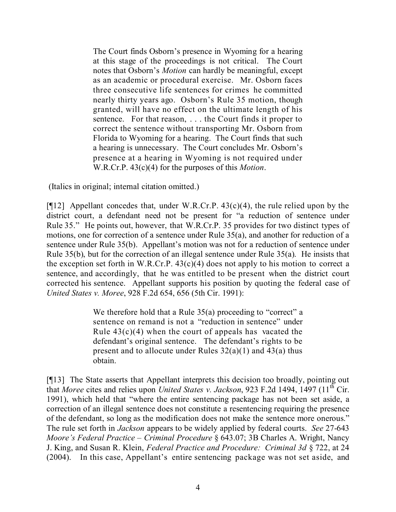The Court finds Osborn's presence in Wyoming for a hearing at this stage of the proceedings is not critical. The Court notes that Osborn's *Motion* can hardly be meaningful, except as an academic or procedural exercise. Mr. Osborn faces three consecutive life sentences for crimes he committed nearly thirty years ago. Osborn's Rule 35 motion, though granted, will have no effect on the ultimate length of his sentence. For that reason, . . . the Court finds it proper to correct the sentence without transporting Mr. Osborn from Florida to Wyoming for a hearing. The Court finds that such a hearing is unnecessary. The Court concludes Mr. Osborn's presence at a hearing in Wyoming is not required under W.R.Cr.P. 43(c)(4) for the purposes of this *Motion*.

(Italics in original; internal citation omitted.)

[ $[12]$ ] Appellant concedes that, under W.R.Cr.P. 43(c)(4), the rule relied upon by the district court, a defendant need not be present for "a reduction of sentence under Rule 35." He points out, however, that W.R.Cr.P. 35 provides for two distinct types of motions, one for correction of a sentence under Rule 35(a), and another for reduction of a sentence under Rule 35(b). Appellant's motion was not for a reduction of sentence under Rule 35(b), but for the correction of an illegal sentence under Rule 35(a). He insists that the exception set forth in W.R.Cr.P.  $43(c)(4)$  does not apply to his motion to correct a sentence, and accordingly, that he was entitled to be present when the district court corrected his sentence. Appellant supports his position by quoting the federal case of *United States v. Moree*, 928 F.2d 654, 656 (5th Cir. 1991):

> We therefore hold that a Rule 35(a) proceeding to "correct" a sentence on remand is not a "reduction in sentence" under Rule  $43(c)(4)$  when the court of appeals has vacated the defendant's original sentence. The defendant's rights to be present and to allocute under Rules  $32(a)(1)$  and  $43(a)$  thus obtain.

[¶13] The State asserts that Appellant interprets this decision too broadly, pointing out that *Moree* cites and relies upon *United States v. Jackson*, 923 F.2d 1494, 1497 (11 th Cir. 1991), which held that "where the entire sentencing package has not been set aside, a correction of an illegal sentence does not constitute a resentencing requiring the presence of the defendant, so long as the modification does not make the sentence more onerous." The rule set forth in *Jackson* appears to be widely applied by federal courts. *See* 27-643 *Moore's Federal Practice – Criminal Procedure* § 643.07; 3B Charles A. Wright, Nancy J. King, and Susan R. Klein, *Federal Practice and Procedure: Criminal 3d* § 722, at 24 (2004). In this case, Appellant's entire sentencing package was not set aside, and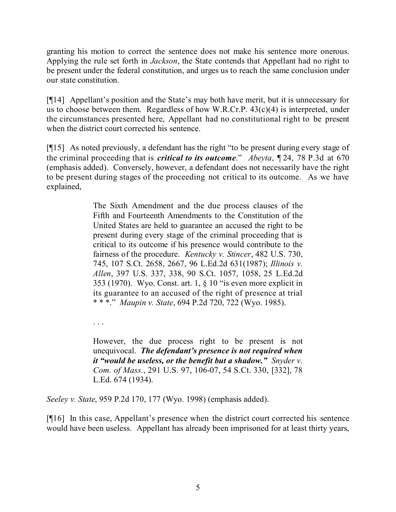granting his motion to correct the sentence does not make his sentence more onerous. Applying the rule set forth in *Jackson*, the State contends that Appellant had no right to be present under the federal constitution, and urges us to reach the same conclusion under our state constitution.

[¶14] Appellant's position and the State's may both have merit, but it is unnecessary for us to choose between them. Regardless of how W.R.Cr.P.  $43(c)(4)$  is interpreted, under the circumstances presented here, Appellant had no constitutional right to be present when the district court corrected his sentence.

[¶15] As noted previously, a defendant has the right "to be present during every stage of the criminal proceeding that is *critical to its outcome*." *Abeyta*, ¶ 24, 78 P.3d at 670 (emphasis added). Conversely, however, a defendant does not necessarily have the right to be present during stages of the proceeding not critical to its outcome. As we have explained,

> The Sixth Amendment and the due process clauses of the Fifth and Fourteenth Amendments to the Constitution of the United States are held to guarantee an accused the right to be present during every stage of the criminal proceeding that is critical to its outcome if his presence would contribute to the fairness of the procedure. *Kentucky v. Stincer*, 482 U.S. 730, 745, 107 S.Ct. 2658, 2667, 96 L.Ed.2d 631(1987); *Illinois v. Allen*, 397 U.S. 337, 338, 90 S.Ct. 1057, 1058, 25 L.Ed.2d 353 (1970). Wyo. Const. art. 1, § 10 "is even more explicit in its guarantee to an accused of the right of presence at trial \* \* \*." *Maupin v. State*, 694 P.2d 720, 722 (Wyo. 1985).

. . .

However, the due process right to be present is not unequivocal. *The defendant's presence is not required when it "would be useless, or the benefit but a shadow." Snyder v. Com. of Mass.*, 291 U.S. 97, 106-07, 54 S.Ct. 330, [332], 78 L.Ed. 674 (1934).

*Seeley v. State*, 959 P.2d 170, 177 (Wyo. 1998) (emphasis added).

[¶16] In this case, Appellant's presence when the district court corrected his sentence would have been useless. Appellant has already been imprisoned for at least thirty years,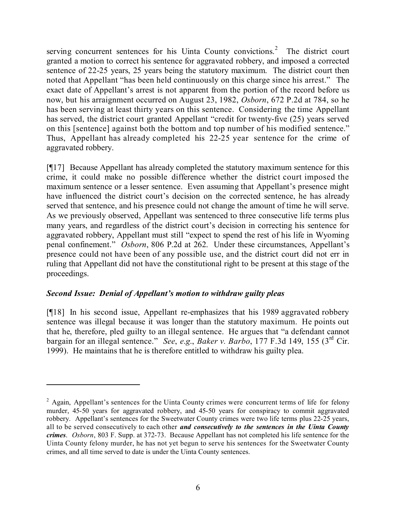serving concurrent sentences for his Uinta County convictions.<sup>2</sup> The district court granted a motion to correct his sentence for aggravated robbery, and imposed a corrected sentence of 22-25 years, 25 years being the statutory maximum. The district court then noted that Appellant "has been held continuously on this charge since his arrest." The exact date of Appellant's arrest is not apparent from the portion of the record before us now, but his arraignment occurred on August 23, 1982, *Osborn*, 672 P.2d at 784, so he has been serving at least thirty years on this sentence. Considering the time Appellant has served, the district court granted Appellant "credit for twenty-five (25) years served on this [sentence] against both the bottom and top number of his modified sentence." Thus, Appellant has already completed his 22-25 year sentence for the crime of aggravated robbery.

[¶17] Because Appellant has already completed the statutory maximum sentence for this crime, it could make no possible difference whether the district court imposed the maximum sentence or a lesser sentence. Even assuming that Appellant's presence might have influenced the district court's decision on the corrected sentence, he has already served that sentence, and his presence could not change the amount of time he will serve. As we previously observed, Appellant was sentenced to three consecutive life terms plus many years, and regardless of the district court's decision in correcting his sentence for aggravated robbery, Appellant must still "expect to spend the rest of his life in Wyoming penal confinement." *Osborn*, 806 P.2d at 262. Under these circumstances, Appellant's presence could not have been of any possible use, and the district court did not err in ruling that Appellant did not have the constitutional right to be present at this stage of the proceedings.

# *Second Issue: Denial of Appellant's motion to withdraw guilty pleas*

[¶18] In his second issue, Appellant re-emphasizes that his 1989 aggravated robbery sentence was illegal because it was longer than the statutory maximum. He points out that he, therefore, pled guilty to an illegal sentence. He argues that "a defendant cannot bargain for an illegal sentence." *See*, *e*.*g*., *Baker v. Barbo*, 177 F.3d 149, 155 (3rd Cir. 1999). He maintains that he is therefore entitled to withdraw his guilty plea.

<sup>&</sup>lt;sup>2</sup> Again, Appellant's sentences for the Uinta County crimes were concurrent terms of life for felony murder, 45-50 years for aggravated robbery, and 45-50 years for conspiracy to commit aggravated robbery. Appellant's sentences for the Sweetwater County crimes were two life terms plus 22-25 years, all to be served consecutively to each other *and consecutively to the sentences in the Uinta County crimes*. *Osborn*, 803 F. Supp. at 372-73. Because Appellant has not completed his life sentence for the Uinta County felony murder, he has not yet begun to serve his sentences for the Sweetwater County crimes, and all time served to date is under the Uinta County sentences.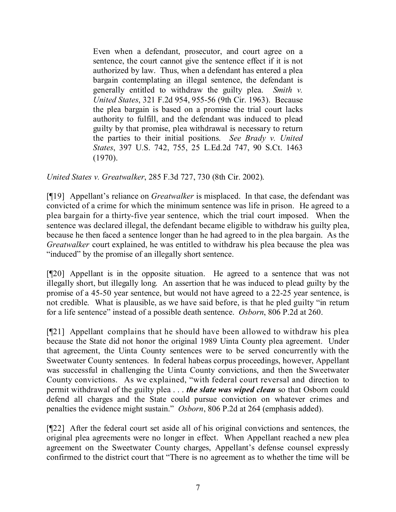Even when a defendant, prosecutor, and court agree on a sentence, the court cannot give the sentence effect if it is not authorized by law. Thus, when a defendant has entered a plea bargain contemplating an illegal sentence, the defendant is generally entitled to withdraw the guilty plea. *Smith v. United States*, 321 F.2d 954, 955-56 (9th Cir. 1963). Because the plea bargain is based on a promise the trial court lacks authority to fulfill, and the defendant was induced to plead guilty by that promise, plea withdrawal is necessary to return the parties to their initial positions. *See Brady v. United States*, 397 U.S. 742, 755, 25 L.Ed.2d 747, 90 S.Ct. 1463 (1970).

*United States v. Greatwalker*, 285 F.3d 727, 730 (8th Cir. 2002).

[¶19] Appellant's reliance on *Greatwalker* is misplaced. In that case, the defendant was convicted of a crime for which the minimum sentence was life in prison. He agreed to a plea bargain for a thirty-five year sentence, which the trial court imposed. When the sentence was declared illegal, the defendant became eligible to withdraw his guilty plea, because he then faced a sentence longer than he had agreed to in the plea bargain. As the *Greatwalker* court explained, he was entitled to withdraw his plea because the plea was "induced" by the promise of an illegally short sentence.

[¶20] Appellant is in the opposite situation. He agreed to a sentence that was not illegally short, but illegally long. An assertion that he was induced to plead guilty by the promise of a 45-50 year sentence, but would not have agreed to a 22-25 year sentence, is not credible. What is plausible, as we have said before, is that he pled guilty "in return for a life sentence" instead of a possible death sentence. *Osborn*, 806 P.2d at 260.

[¶21] Appellant complains that he should have been allowed to withdraw his plea because the State did not honor the original 1989 Uinta County plea agreement. Under that agreement, the Uinta County sentences were to be served concurrently with the Sweetwater County sentences. In federal habeas corpus proceedings, however, Appellant was successful in challenging the Uinta County convictions, and then the Sweetwater County convictions. As we explained, "with federal court reversal and direction to permit withdrawal of the guilty plea . . . *the slate was wiped clean* so that Osborn could defend all charges and the State could pursue conviction on whatever crimes and penalties the evidence might sustain." *Osborn*, 806 P.2d at 264 (emphasis added).

[¶22] After the federal court set aside all of his original convictions and sentences, the original plea agreements were no longer in effect. When Appellant reached a new plea agreement on the Sweetwater County charges, Appellant's defense counsel expressly confirmed to the district court that "There is no agreement as to whether the time will be